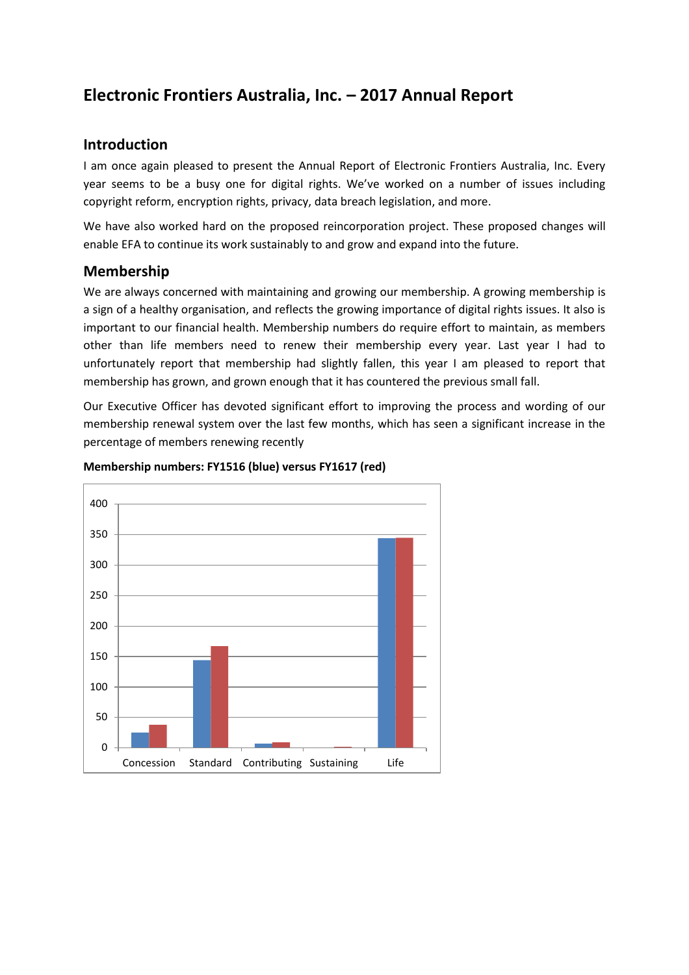# **Electronic Frontiers Australia, Inc. – 2017 Annual Report**

## **Introduction**

I am once again pleased to present the Annual Report of Electronic Frontiers Australia, Inc. Every year seems to be a busy one for digital rights. We've worked on a number of issues including copyright reform, encryption rights, privacy, data breach legislation, and more.

We have also worked hard on the proposed reincorporation project. These proposed changes will enable EFA to continue its work sustainably to and grow and expand into the future.

### **Membership**

We are always concerned with maintaining and growing our membership. A growing membership is a sign of a healthy organisation, and reflects the growing importance of digital rights issues. It also is important to our financial health. Membership numbers do require effort to maintain, as members other than life members need to renew their membership every year. Last year I had to unfortunately report that membership had slightly fallen, this year I am pleased to report that membership has grown, and grown enough that it has countered the previous small fall.

Our Executive Officer has devoted significant effort to improving the process and wording of our membership renewal system over the last few months, which has seen a significant increase in the percentage of members renewing recently



### **Membership numbers: FY1516 (blue) versus FY1617 (red)**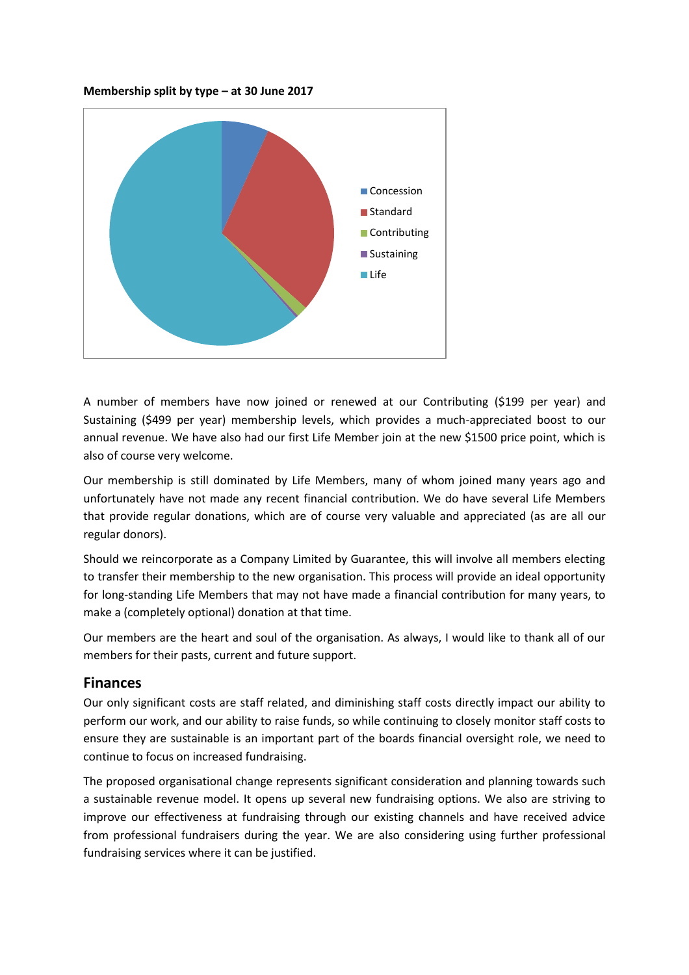**Membership split by type – at 30 June 2017**



A number of members have now joined or renewed at our Contributing (\$199 per year) and Sustaining (\$499 per year) membership levels, which provides a much-appreciated boost to our annual revenue. We have also had our first Life Member join at the new \$1500 price point, which is also of course very welcome.

Our membership is still dominated by Life Members, many of whom joined many years ago and unfortunately have not made any recent financial contribution. We do have several Life Members that provide regular donations, which are of course very valuable and appreciated (as are all our regular donors).

Should we reincorporate as a Company Limited by Guarantee, this will involve all members electing to transfer their membership to the new organisation. This process will provide an ideal opportunity for long-standing Life Members that may not have made a financial contribution for many years, to make a (completely optional) donation at that time.

Our members are the heart and soul of the organisation. As always, I would like to thank all of our members for their pasts, current and future support.

### **Finances**

Our only significant costs are staff related, and diminishing staff costs directly impact our ability to perform our work, and our ability to raise funds, so while continuing to closely monitor staff costs to ensure they are sustainable is an important part of the boards financial oversight role, we need to continue to focus on increased fundraising.

The proposed organisational change represents significant consideration and planning towards such a sustainable revenue model. It opens up several new fundraising options. We also are striving to improve our effectiveness at fundraising through our existing channels and have received advice from professional fundraisers during the year. We are also considering using further professional fundraising services where it can be justified.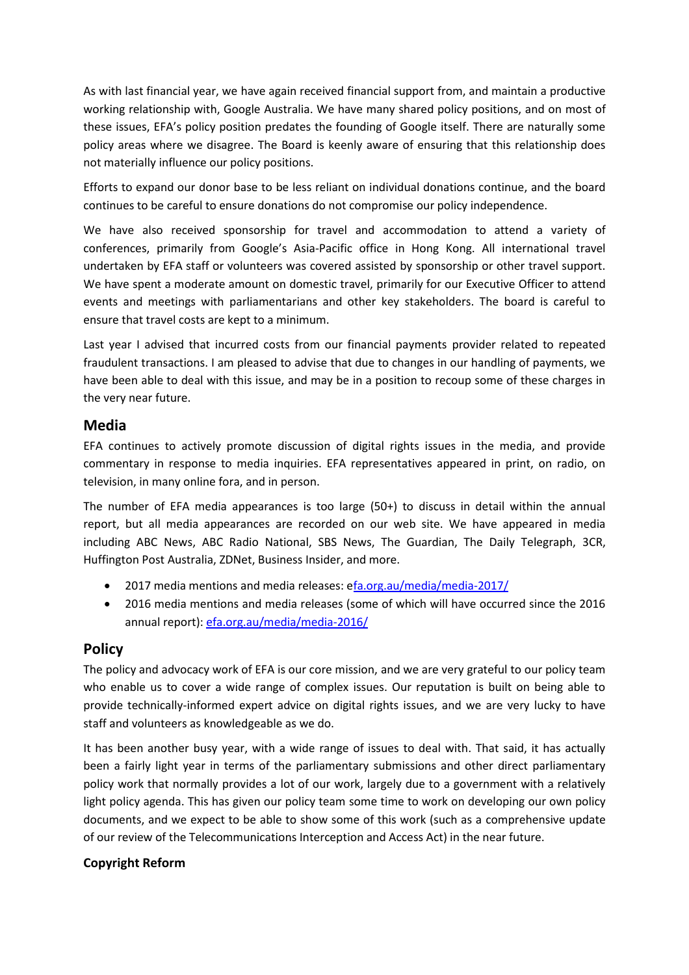As with last financial year, we have again received financial support from, and maintain a productive working relationship with, Google Australia. We have many shared policy positions, and on most of these issues, EFA's policy position predates the founding of Google itself. There are naturally some policy areas where we disagree. The Board is keenly aware of ensuring that this relationship does not materially influence our policy positions.

Efforts to expand our donor base to be less reliant on individual donations continue, and the board continues to be careful to ensure donations do not compromise our policy independence.

We have also received sponsorship for travel and accommodation to attend a variety of conferences, primarily from Google's Asia-Pacific office in Hong Kong. All international travel undertaken by EFA staff or volunteers was covered assisted by sponsorship or other travel support. We have spent a moderate amount on domestic travel, primarily for our Executive Officer to attend events and meetings with parliamentarians and other key stakeholders. The board is careful to ensure that travel costs are kept to a minimum.

Last year I advised that incurred costs from our financial payments provider related to repeated fraudulent transactions. I am pleased to advise that due to changes in our handling of payments, we have been able to deal with this issue, and may be in a position to recoup some of these charges in the very near future.

# **Media**

EFA continues to actively promote discussion of digital rights issues in the media, and provide commentary in response to media inquiries. EFA representatives appeared in print, on radio, on television, in many online fora, and in person.

The number of EFA media appearances is too large (50+) to discuss in detail within the annual report, but all media appearances are recorded on our web site. We have appeared in media including ABC News, ABC Radio National, SBS News, The Guardian, The Daily Telegraph, 3CR, Huffington Post Australia, ZDNet, Business Insider, and more.

- 2017 media mentions and media releases: [efa.org.au/media/media-2017/](https://www.efa.org.au/media/media-2017/)
- 2016 media mentions and media releases (some of which will have occurred since the 2016 annual report): [efa.org.au/media/media-2016/](https://www.efa.org.au/media/media-2016/)

# **Policy**

The policy and advocacy work of EFA is our core mission, and we are very grateful to our policy team who enable us to cover a wide range of complex issues. Our reputation is built on being able to provide technically-informed expert advice on digital rights issues, and we are very lucky to have staff and volunteers as knowledgeable as we do.

It has been another busy year, with a wide range of issues to deal with. That said, it has actually been a fairly light year in terms of the parliamentary submissions and other direct parliamentary policy work that normally provides a lot of our work, largely due to a government with a relatively light policy agenda. This has given our policy team some time to work on developing our own policy documents, and we expect to be able to show some of this work (such as a comprehensive update of our review of the Telecommunications Interception and Access Act) in the near future.

### **Copyright Reform**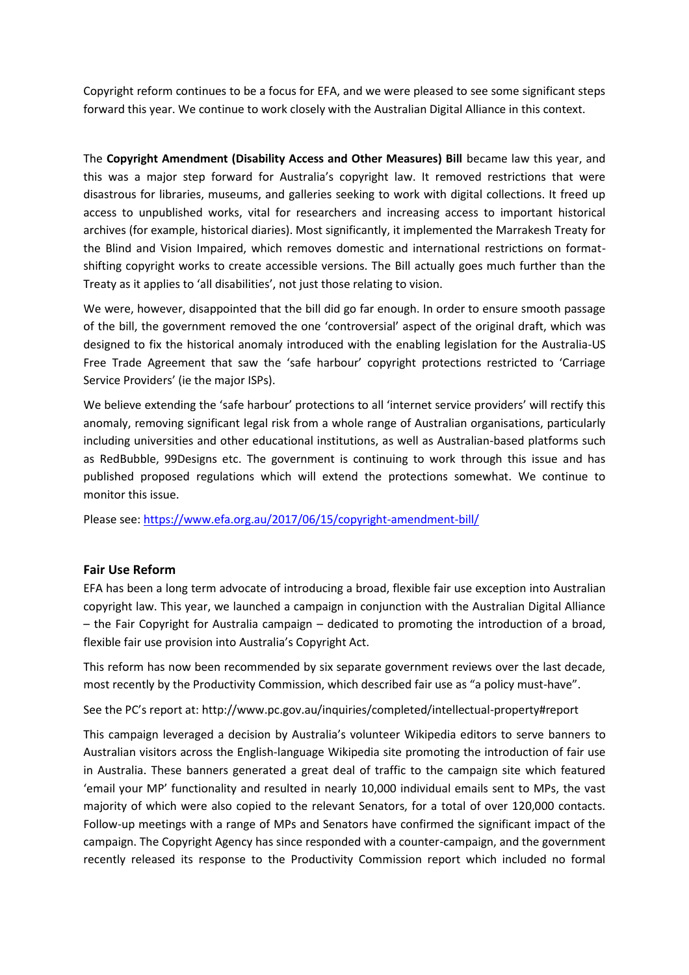Copyright reform continues to be a focus for EFA, and we were pleased to see some significant steps forward this year. We continue to work closely with the Australian Digital Alliance in this context.

The **Copyright Amendment (Disability Access and Other Measures) Bill** became law this year, and this was a major step forward for Australia's copyright law. It removed restrictions that were disastrous for libraries, museums, and galleries seeking to work with digital collections. It freed up access to unpublished works, vital for researchers and increasing access to important historical archives (for example, historical diaries). Most significantly, it implemented the Marrakesh Treaty for the Blind and Vision Impaired, which removes domestic and international restrictions on formatshifting copyright works to create accessible versions. The Bill actually goes much further than the Treaty as it applies to 'all disabilities', not just those relating to vision.

We were, however, disappointed that the bill did go far enough. In order to ensure smooth passage of the bill, the government removed the one 'controversial' aspect of the original draft, which was designed to fix the historical anomaly introduced with the enabling legislation for the Australia-US Free Trade Agreement that saw the 'safe harbour' copyright protections restricted to 'Carriage Service Providers' (ie the major ISPs).

We believe extending the 'safe harbour' protections to all 'internet service providers' will rectify this anomaly, removing significant legal risk from a whole range of Australian organisations, particularly including universities and other educational institutions, as well as Australian-based platforms such as RedBubble, 99Designs etc. The government is continuing to work through this issue and has published proposed regulations which will extend the protections somewhat. We continue to monitor this issue.

Please see: <https://www.efa.org.au/2017/06/15/copyright-amendment-bill/>

#### **Fair Use Reform**

EFA has been a long term advocate of introducing a broad, flexible fair use exception into Australian copyright law. This year, we launched a campaign in conjunction with the Australian Digital Alliance – the Fair Copyright for Australia campaign – dedicated to promoting the introduction of a broad, flexible fair use provision into Australia's Copyright Act.

This reform has now been recommended by six separate government reviews over the last decade, most recently by the Productivity Commission, which described fair use as "a policy must-have".

See the PC's report at: <http://www.pc.gov.au/inquiries/completed/intellectual-property#report>

This campaign leveraged a decision by Australia's volunteer Wikipedia editors to serve banners to Australian visitors across the English-language Wikipedia site promoting the introduction of fair use in Australia. These banners generated a great deal of traffic to the campaign site which featured 'email your MP' functionality and resulted in nearly 10,000 individual emails sent to MPs, the vast majority of which were also copied to the relevant Senators, for a total of over 120,000 contacts. Follow-up meetings with a range of MPs and Senators have confirmed the significant impact of the campaign. The Copyright Agency has since responded with a counter-campaign, and the government recently released its response to the Productivity Commission report which included no formal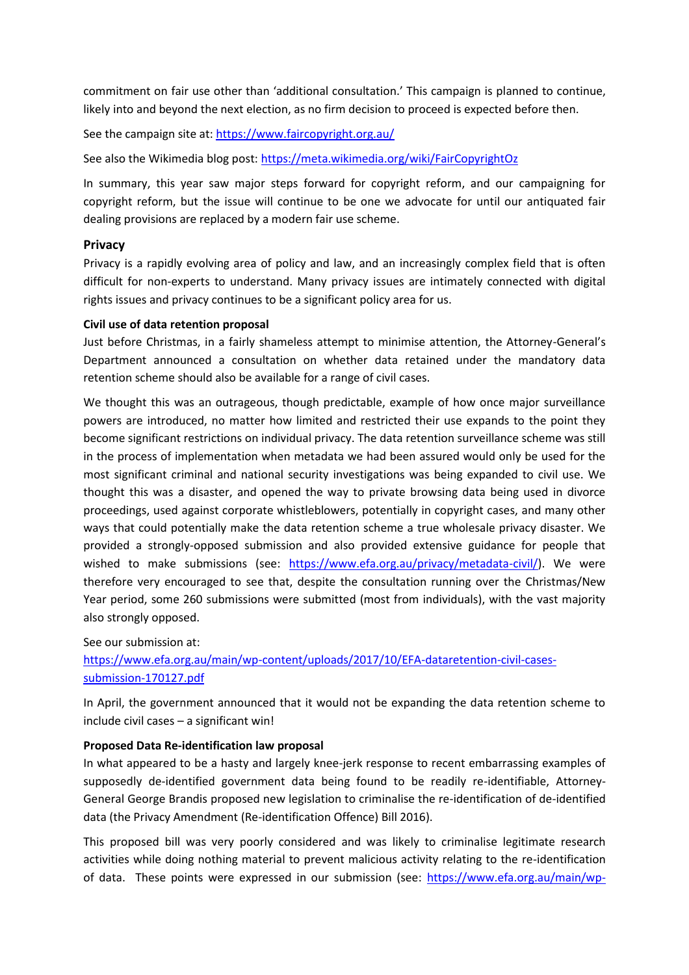commitment on fair use other than 'additional consultation.' This campaign is planned to continue, likely into and beyond the next election, as no firm decision to proceed is expected before then.

See the campaign site at[: https://www.faircopyright.org.au/](https://www.faircopyright.org.au/)

See also the Wikimedia blog post:<https://meta.wikimedia.org/wiki/FairCopyrightOz>

In summary, this year saw major steps forward for copyright reform, and our campaigning for copyright reform, but the issue will continue to be one we advocate for until our antiquated fair dealing provisions are replaced by a modern fair use scheme.

#### **Privacy**

Privacy is a rapidly evolving area of policy and law, and an increasingly complex field that is often difficult for non-experts to understand. Many privacy issues are intimately connected with digital rights issues and privacy continues to be a significant policy area for us.

#### **Civil use of data retention proposal**

Just before Christmas, in a fairly shameless attempt to minimise attention, the Attorney-General's Department announced a consultation on whether data retained under the mandatory data retention scheme should also be available for a range of civil cases.

We thought this was an outrageous, though predictable, example of how once major surveillance powers are introduced, no matter how limited and restricted their use expands to the point they become significant restrictions on individual privacy. The data retention surveillance scheme was still in the process of implementation when metadata we had been assured would only be used for the most significant criminal and national security investigations was being expanded to civil use. We thought this was a disaster, and opened the way to private browsing data being used in divorce proceedings, used against corporate whistleblowers, potentially in copyright cases, and many other ways that could potentially make the data retention scheme a true wholesale privacy disaster. We provided a strongly-opposed submission and also provided extensive guidance for people that wished to make submissions (see: [https://www.efa.org.au/privacy/metadata-civil/\)](http://https/www.efa.org.au/privacy/metadata-civil/). We were therefore very encouraged to see that, despite the consultation running over the Christmas/New Year period, some 260 submissions were submitted (most from individuals), with the vast majority also strongly opposed.

See our submission at:

[https://www.efa.org.au/main/wp-content/uploads/2017/10/EFA-dataretention-civil-cases](http://https/www.efa.org.au/main/wp-content/uploads/2017/10/EFA-dataretention-civil-cases-submission-170127.pdf)[submission-170127.pdf](http://https/www.efa.org.au/main/wp-content/uploads/2017/10/EFA-dataretention-civil-cases-submission-170127.pdf)

In April, the government announced that it would not be expanding the data retention scheme to include civil cases – a significant win!

#### **Proposed Data Re-identification law proposal**

In what appeared to be a hasty and largely knee-jerk response to recent embarrassing examples of supposedly de-identified government data being found to be readily re-identifiable, Attorney-General George Brandis proposed new legislation to criminalise the re-identification of de-identified data (the Privacy Amendment (Re-identification Offence) Bill 2016).

This proposed bill was very poorly considered and was likely to criminalise legitimate research activities while doing nothing material to prevent malicious activity relating to the re-identification of data. These points were expressed in our submission (see: [https://www.efa.org.au/main/wp-](http://https/www.efa.org.au/main/wp-content/uploads/2016/12/EFA-data-reidentification-submission-161219.pdf)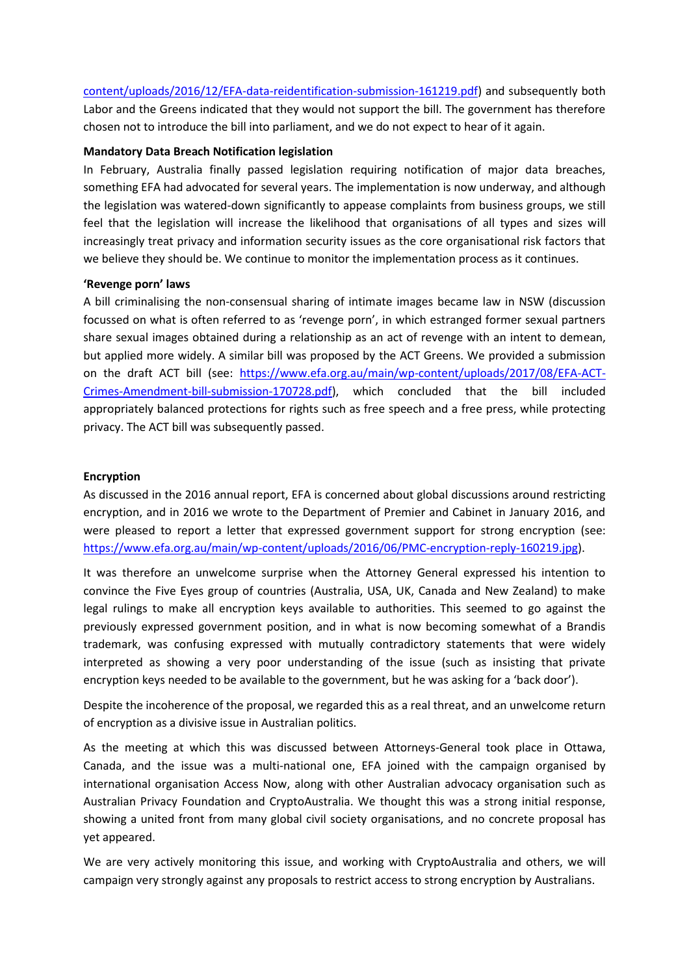[content/uploads/2016/12/EFA-data-reidentification-submission-161219.pdf\)](http://https/www.efa.org.au/main/wp-content/uploads/2016/12/EFA-data-reidentification-submission-161219.pdf) and subsequently both Labor and the Greens indicated that they would not support the bill. The government has therefore chosen not to introduce the bill into parliament, and we do not expect to hear of it again.

#### **Mandatory Data Breach Notification legislation**

In February, Australia finally passed legislation requiring notification of major data breaches, something EFA had advocated for several years. The implementation is now underway, and although the legislation was watered-down significantly to appease complaints from business groups, we still feel that the legislation will increase the likelihood that organisations of all types and sizes will increasingly treat privacy and information security issues as the core organisational risk factors that we believe they should be. We continue to monitor the implementation process as it continues.

#### **'Revenge porn' laws**

A bill criminalising the non-consensual sharing of intimate images became law in NSW (discussion focussed on what is often referred to as 'revenge porn', in which estranged former sexual partners share sexual images obtained during a relationship as an act of revenge with an intent to demean, but applied more widely. A similar bill was proposed by the ACT Greens. We provided a submission on the draft ACT bill (see: [https://www.efa.org.au/main/wp-content/uploads/2017/08/EFA-ACT-](http://https/www.efa.org.au/main/wp-content/uploads/2017/08/EFA-ACT-Crimes-Amendment-bill-submission-170728.pdf)[Crimes-Amendment-bill-submission-170728.pdf\)](http://https/www.efa.org.au/main/wp-content/uploads/2017/08/EFA-ACT-Crimes-Amendment-bill-submission-170728.pdf), which concluded that the bill included appropriately balanced protections for rights such as free speech and a free press, while protecting privacy. The ACT bill was subsequently passed.

#### **Encryption**

As discussed in the 2016 annual report, EFA is concerned about global discussions around restricting encryption, and in 2016 we wrote to the Department of Premier and Cabinet in January 2016, and were pleased to report a letter that expressed government support for strong encryption (see: [https://www.efa.org.au/main/wp-content/uploads/2016/06/PMC-encryption-reply-160219.jpg\)](http://https/www.efa.org.au/main/wp-content/uploads/2016/06/PMC-encryption-reply-160219.jpg).

It was therefore an unwelcome surprise when the Attorney General expressed his intention to convince the Five Eyes group of countries (Australia, USA, UK, Canada and New Zealand) to make legal rulings to make all encryption keys available to authorities. This seemed to go against the previously expressed government position, and in what is now becoming somewhat of a Brandis trademark, was confusing expressed with mutually contradictory statements that were widely interpreted as showing a very poor understanding of the issue (such as insisting that private encryption keys needed to be available to the government, but he was asking for a 'back door').

Despite the incoherence of the proposal, we regarded this as a real threat, and an unwelcome return of encryption as a divisive issue in Australian politics.

As the meeting at which this was discussed between Attorneys-General took place in Ottawa, Canada, and the issue was a multi-national one, EFA joined with the campaign organised by international organisation Access Now, along with other Australian advocacy organisation such as Australian Privacy Foundation and CryptoAustralia. We thought this was a strong initial response, showing a united front from many global civil society organisations, and no concrete proposal has yet appeared.

We are very actively monitoring this issue, and working with CryptoAustralia and others, we will campaign very strongly against any proposals to restrict access to strong encryption by Australians.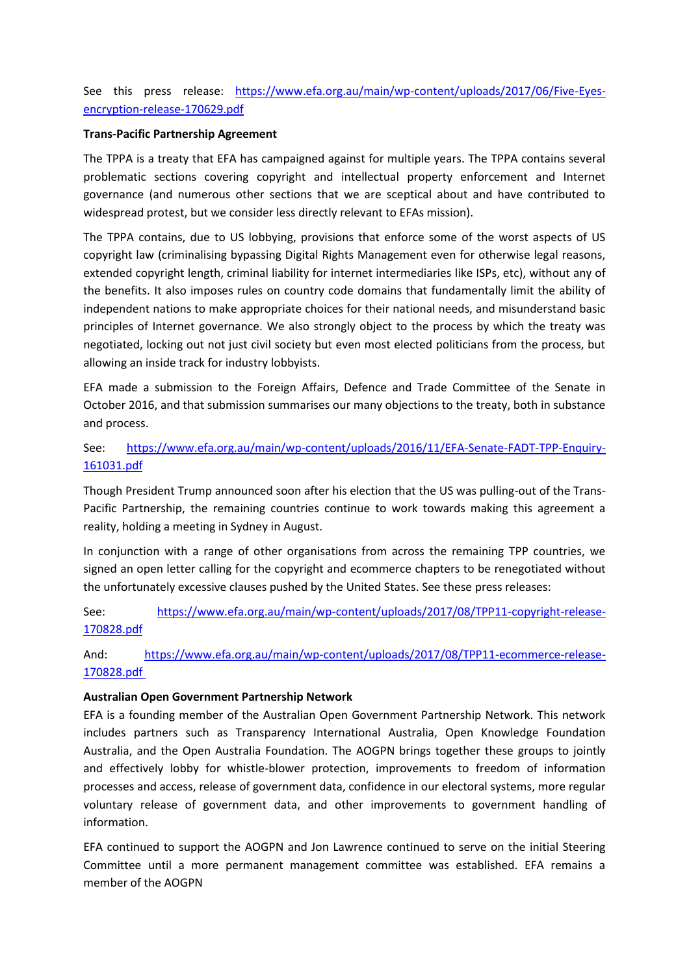See this press release: [https://www.efa.org.au/main/wp-content/uploads/2017/06/Five-Eyes](http://https/www.efa.org.au/main/wp-content/uploads/2017/06/Five-Eyes-encryption-release-170629.pdf)[encryption-release-170629.pdf](http://https/www.efa.org.au/main/wp-content/uploads/2017/06/Five-Eyes-encryption-release-170629.pdf)

#### **Trans-Pacific Partnership Agreement**

The TPPA is a treaty that EFA has campaigned against for multiple years. The TPPA contains several problematic sections covering copyright and intellectual property enforcement and Internet governance (and numerous other sections that we are sceptical about and have contributed to widespread protest, but we consider less directly relevant to EFAs mission).

The TPPA contains, due to US lobbying, provisions that enforce some of the worst aspects of US copyright law (criminalising bypassing Digital Rights Management even for otherwise legal reasons, extended copyright length, criminal liability for internet intermediaries like ISPs, etc), without any of the benefits. It also imposes rules on country code domains that fundamentally limit the ability of independent nations to make appropriate choices for their national needs, and misunderstand basic principles of Internet governance. We also strongly object to the process by which the treaty was negotiated, locking out not just civil society but even most elected politicians from the process, but allowing an inside track for industry lobbyists.

EFA made a submission to the Foreign Affairs, Defence and Trade Committee of the Senate in October 2016, and that submission summarises our many objections to the treaty, both in substance and process.

See: [https://www.efa.org.au/main/wp-content/uploads/2016/11/EFA-Senate-FADT-TPP-Enquiry-](https://www.efa.org.au/main/wp-content/uploads/2016/11/EFA-Senate-FADT-TPP-Enquiry-161031.pdf)[161031.pdf](https://www.efa.org.au/main/wp-content/uploads/2016/11/EFA-Senate-FADT-TPP-Enquiry-161031.pdf)

Though President Trump announced soon after his election that the US was pulling-out of the Trans-Pacific Partnership, the remaining countries continue to work towards making this agreement a reality, holding a meeting in Sydney in August.

In conjunction with a range of other organisations from across the remaining TPP countries, we signed an open letter calling for the copyright and ecommerce chapters to be renegotiated without the unfortunately excessive clauses pushed by the United States. See these press releases:

See: [https://www.efa.org.au/main/wp-content/uploads/2017/08/TPP11-copyright-release-](http://https/www.efa.org.au/main/wp-content/uploads/2017/08/TPP11-copyright-release-170828.pdf)[170828.pdf](http://https/www.efa.org.au/main/wp-content/uploads/2017/08/TPP11-copyright-release-170828.pdf)

And: [https://www.efa.org.au/main/wp-content/uploads/2017/08/TPP11-ecommerce-release-](http://https/www.efa.org.au/main/wp-content/uploads/2017/08/TPP11-ecommerce-release-170828.pdf)[170828.pdf](http://https/www.efa.org.au/main/wp-content/uploads/2017/08/TPP11-ecommerce-release-170828.pdf) 

#### **Australian Open Government Partnership Network**

EFA is a founding member of the Australian Open Government Partnership Network. This network includes partners such as Transparency International Australia, Open Knowledge Foundation Australia, and the Open Australia Foundation. The AOGPN brings together these groups to jointly and effectively lobby for whistle-blower protection, improvements to freedom of information processes and access, release of government data, confidence in our electoral systems, more regular voluntary release of government data, and other improvements to government handling of information.

EFA continued to support the AOGPN and Jon Lawrence continued to serve on the initial Steering Committee until a more permanent management committee was established. EFA remains a member of the AOGPN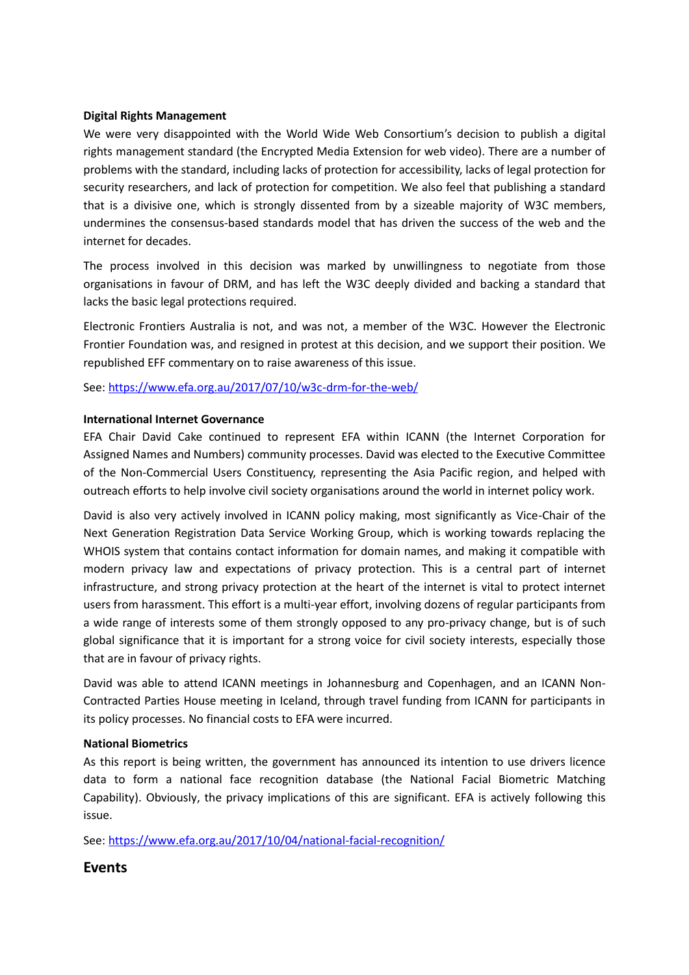#### **Digital Rights Management**

We were very disappointed with the World Wide Web Consortium's decision to publish a digital rights management standard (the Encrypted Media Extension for web video). There are a number of problems with the standard, including lacks of protection for accessibility, lacks of legal protection for security researchers, and lack of protection for competition. We also feel that publishing a standard that is a divisive one, which is strongly dissented from by a sizeable majority of W3C members, undermines the consensus-based standards model that has driven the success of the web and the internet for decades.

The process involved in this decision was marked by unwillingness to negotiate from those organisations in favour of DRM, and has left the W3C deeply divided and backing a standard that lacks the basic legal protections required.

Electronic Frontiers Australia is not, and was not, a member of the W3C. However the Electronic Frontier Foundation was, and resigned in protest at this decision, and we support their position. We republished EFF commentary on to raise awareness of this issue.

See[: https://www.efa.org.au/2017/07/10/w3c-drm-for-the-web/](https://www.efa.org.au/2017/07/10/w3c-drm-for-the-web/)

#### **International Internet Governance**

EFA Chair David Cake continued to represent EFA within ICANN (the Internet Corporation for Assigned Names and Numbers) community processes. David was elected to the Executive Committee of the Non-Commercial Users Constituency, representing the Asia Pacific region, and helped with outreach efforts to help involve civil society organisations around the world in internet policy work.

David is also very actively involved in ICANN policy making, most significantly as Vice-Chair of the Next Generation Registration Data Service Working Group, which is working towards replacing the WHOIS system that contains contact information for domain names, and making it compatible with modern privacy law and expectations of privacy protection. This is a central part of internet infrastructure, and strong privacy protection at the heart of the internet is vital to protect internet users from harassment. This effort is a multi-year effort, involving dozens of regular participants from a wide range of interests some of them strongly opposed to any pro-privacy change, but is of such global significance that it is important for a strong voice for civil society interests, especially those that are in favour of privacy rights.

David was able to attend ICANN meetings in Johannesburg and Copenhagen, and an ICANN Non-Contracted Parties House meeting in Iceland, through travel funding from ICANN for participants in its policy processes. No financial costs to EFA were incurred.

#### **National Biometrics**

As this report is being written, the government has announced its intention to use drivers licence data to form a national face recognition database (the National Facial Biometric Matching Capability). Obviously, the privacy implications of this are significant. EFA is actively following this issue.

See[: https://www.efa.org.au/2017/10/04/national-facial-recognition/](https://www.efa.org.au/2017/10/04/national-facial-recognition/)

**Events**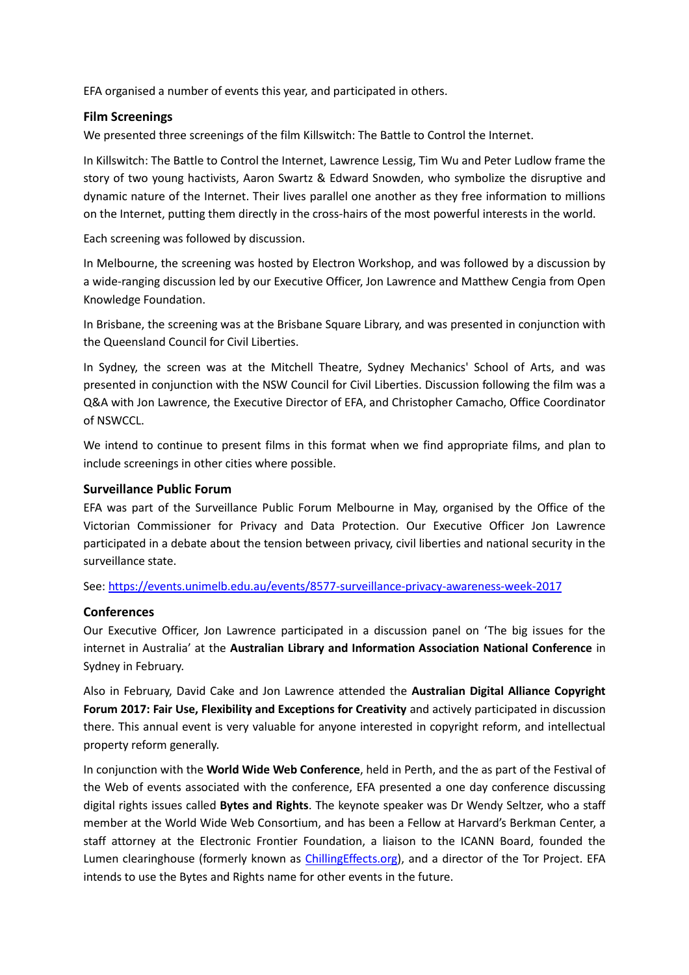EFA organised a number of events this year, and participated in others.

### **Film Screenings**

We presented three screenings of the film Killswitch: The Battle to Control the Internet.

In Killswitch: The Battle to Control the Internet, Lawrence Lessig, Tim Wu and Peter Ludlow frame the story of two young hactivists, Aaron Swartz & Edward Snowden, who symbolize the disruptive and dynamic nature of the Internet. Their lives parallel one another as they free information to millions on the Internet, putting them directly in the cross-hairs of the most powerful interests in the world.

Each screening was followed by discussion.

In Melbourne, the screening was hosted by Electron Workshop, and was followed by a discussion by a wide-ranging discussion led by our Executive Officer, Jon Lawrence and Matthew Cengia from Open Knowledge Foundation.

In Brisbane, the screening was at the Brisbane Square Library, and was presented in conjunction with the Queensland Council for Civil Liberties.

In Sydney, the screen was at the Mitchell Theatre, Sydney Mechanics' School of Arts, and was presented in conjunction with the NSW Council for Civil Liberties. Discussion following the film was a Q&A with Jon Lawrence, the Executive Director of EFA, and Christopher Camacho, Office Coordinator of NSWCCL.

We intend to continue to present films in this format when we find appropriate films, and plan to include screenings in other cities where possible.

### **Surveillance Public Forum**

EFA was part of the Surveillance Public Forum Melbourne in May, organised by the Office of the Victorian Commissioner for Privacy and Data Protection. Our Executive Officer Jon Lawrence participated in a debate about the tension between privacy, civil liberties and national security in the surveillance state.

#### See[: https://events.unimelb.edu.au/events/8577-surveillance-privacy-awareness-week-2017](https://events.unimelb.edu.au/events/8577-surveillance-privacy-awareness-week-2017)

### **Conferences**

Our Executive Officer, Jon Lawrence participated in a discussion panel on 'The big issues for the internet in Australia' at the **Australian Library and Information Association National Conference** in Sydney in February.

Also in February, David Cake and Jon Lawrence attended the **Australian Digital Alliance Copyright Forum 2017: Fair Use, Flexibility and Exceptions for Creativity** and actively participated in discussion there. This annual event is very valuable for anyone interested in copyright reform, and intellectual property reform generally.

In conjunction with the **World Wide Web Conference**, held in Perth, and the as part of the Festival of the Web of events associated with the conference, EFA presented a one day conference discussing digital rights issues called **Bytes and Rights**. The keynote speaker was Dr Wendy Seltzer, who a staff member at the World Wide Web Consortium, and has been a Fellow at Harvard's Berkman Center, a staff attorney at the Electronic Frontier Foundation, a liaison to the ICANN Board, founded the Lumen clearinghouse (formerly known as *ChillingEffects.org*), and a director of the Tor Project. EFA intends to use the Bytes and Rights name for other events in the future.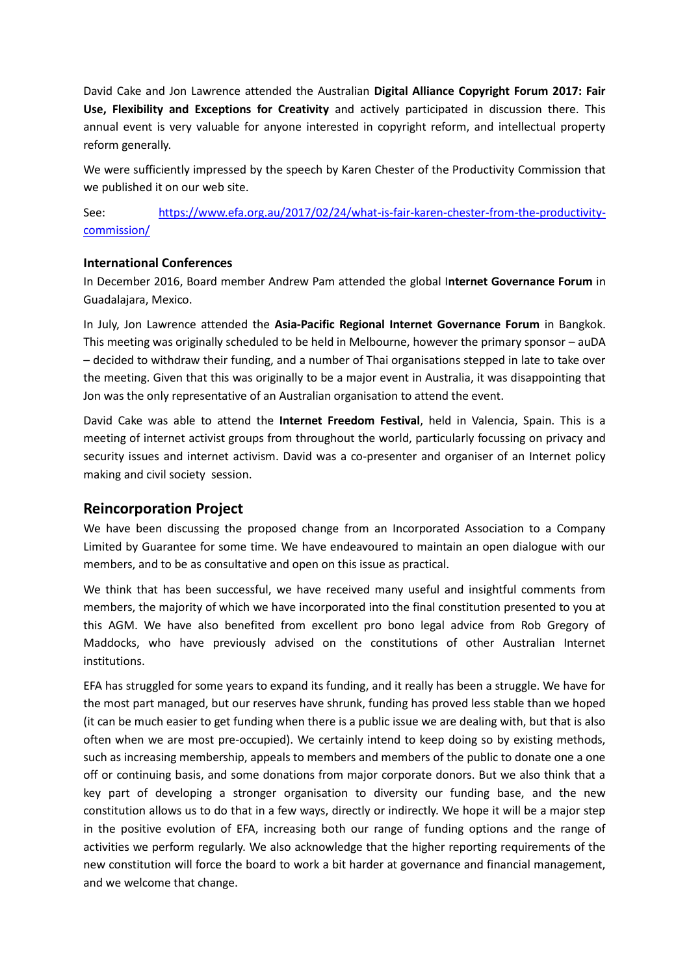David Cake and Jon Lawrence attended the Australian **Digital Alliance Copyright Forum 2017: Fair Use, Flexibility and Exceptions for Creativity** and actively participated in discussion there. This annual event is very valuable for anyone interested in copyright reform, and intellectual property reform generally.

We were sufficiently impressed by the speech by Karen Chester of the Productivity Commission that we published it on our web site.

See: [https://www.efa.org.au/2017/02/24/what-is-fair-karen-chester-from-the-productivity](https://www.efa.org.au/2017/02/24/what-is-fair-karen-chester-from-the-productivity-commission/)[commission/](https://www.efa.org.au/2017/02/24/what-is-fair-karen-chester-from-the-productivity-commission/)

### **International Conferences**

In December 2016, Board member Andrew Pam attended the global I**nternet Governance Forum** in Guadalajara, Mexico.

In July, Jon Lawrence attended the **Asia-Pacific Regional Internet Governance Forum** in Bangkok. This meeting was originally scheduled to be held in Melbourne, however the primary sponsor – auDA – decided to withdraw their funding, and a number of Thai organisations stepped in late to take over the meeting. Given that this was originally to be a major event in Australia, it was disappointing that Jon was the only representative of an Australian organisation to attend the event.

David Cake was able to attend the **Internet Freedom Festival**, held in Valencia, Spain. This is a meeting of internet activist groups from throughout the world, particularly focussing on privacy and security issues and internet activism. David was a co-presenter and organiser of an Internet policy making and civil society session.

### **Reincorporation Project**

We have been discussing the proposed change from an Incorporated Association to a Company Limited by Guarantee for some time. We have endeavoured to maintain an open dialogue with our members, and to be as consultative and open on this issue as practical.

We think that has been successful, we have received many useful and insightful comments from members, the majority of which we have incorporated into the final constitution presented to you at this AGM. We have also benefited from excellent pro bono legal advice from Rob Gregory of Maddocks, who have previously advised on the constitutions of other Australian Internet institutions.

EFA has struggled for some years to expand its funding, and it really has been a struggle. We have for the most part managed, but our reserves have shrunk, funding has proved less stable than we hoped (it can be much easier to get funding when there is a public issue we are dealing with, but that is also often when we are most pre-occupied). We certainly intend to keep doing so by existing methods, such as increasing membership, appeals to members and members of the public to donate one a one off or continuing basis, and some donations from major corporate donors. But we also think that a key part of developing a stronger organisation to diversity our funding base, and the new constitution allows us to do that in a few ways, directly or indirectly. We hope it will be a major step in the positive evolution of EFA, increasing both our range of funding options and the range of activities we perform regularly. We also acknowledge that the higher reporting requirements of the new constitution will force the board to work a bit harder at governance and financial management, and we welcome that change.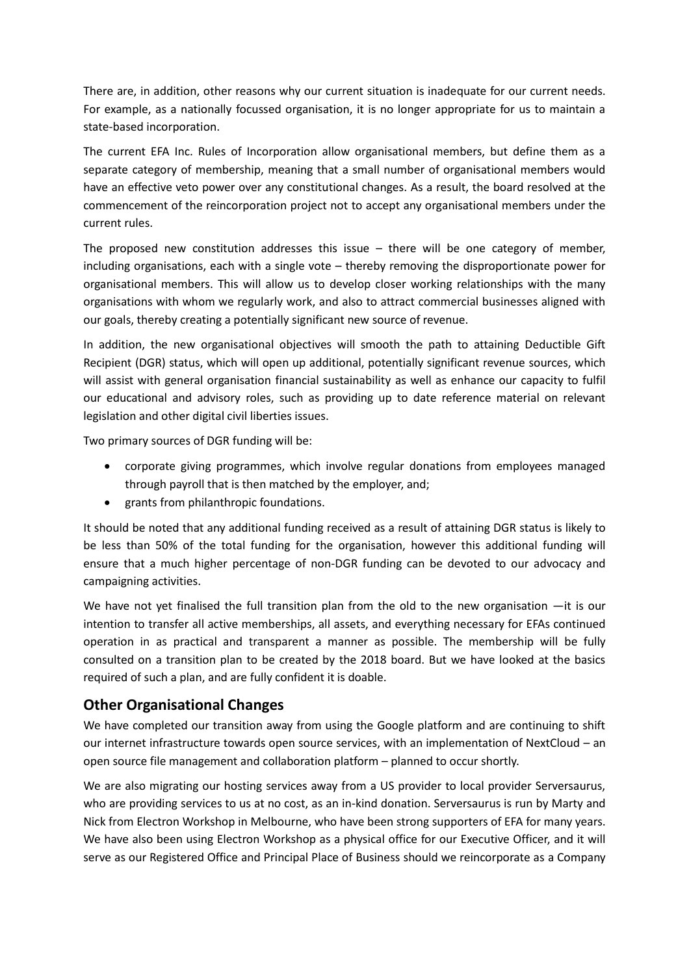There are, in addition, other reasons why our current situation is inadequate for our current needs. For example, as a nationally focussed organisation, it is no longer appropriate for us to maintain a state-based incorporation.

The current EFA Inc. Rules of Incorporation allow organisational members, but define them as a separate category of membership, meaning that a small number of organisational members would have an effective veto power over any constitutional changes. As a result, the board resolved at the commencement of the reincorporation project not to accept any organisational members under the current rules.

The proposed new constitution addresses this issue  $-$  there will be one category of member, including organisations, each with a single vote – thereby removing the disproportionate power for organisational members. This will allow us to develop closer working relationships with the many organisations with whom we regularly work, and also to attract commercial businesses aligned with our goals, thereby creating a potentially significant new source of revenue.

In addition, the new organisational objectives will smooth the path to attaining Deductible Gift Recipient (DGR) status, which will open up additional, potentially significant revenue sources, which will assist with general organisation financial sustainability as well as enhance our capacity to fulfil our educational and advisory roles, such as providing up to date reference material on relevant legislation and other digital civil liberties issues.

Two primary sources of DGR funding will be:

- corporate giving programmes, which involve regular donations from employees managed through payroll that is then matched by the employer, and;
- grants from philanthropic foundations.

It should be noted that any additional funding received as a result of attaining DGR status is likely to be less than 50% of the total funding for the organisation, however this additional funding will ensure that a much higher percentage of non-DGR funding can be devoted to our advocacy and campaigning activities.

We have not yet finalised the full transition plan from the old to the new organisation  $-$ it is our intention to transfer all active memberships, all assets, and everything necessary for EFAs continued operation in as practical and transparent a manner as possible. The membership will be fully consulted on a transition plan to be created by the 2018 board. But we have looked at the basics required of such a plan, and are fully confident it is doable.

# **Other Organisational Changes**

We have completed our transition away from using the Google platform and are continuing to shift our internet infrastructure towards open source services, with an implementation of NextCloud – an open source file management and collaboration platform – planned to occur shortly.

We are also migrating our hosting services away from a US provider to local provider Serversaurus, who are providing services to us at no cost, as an in-kind donation. Serversaurus is run by Marty and Nick from Electron Workshop in Melbourne, who have been strong supporters of EFA for many years. We have also been using Electron Workshop as a physical office for our Executive Officer, and it will serve as our Registered Office and Principal Place of Business should we reincorporate as a Company